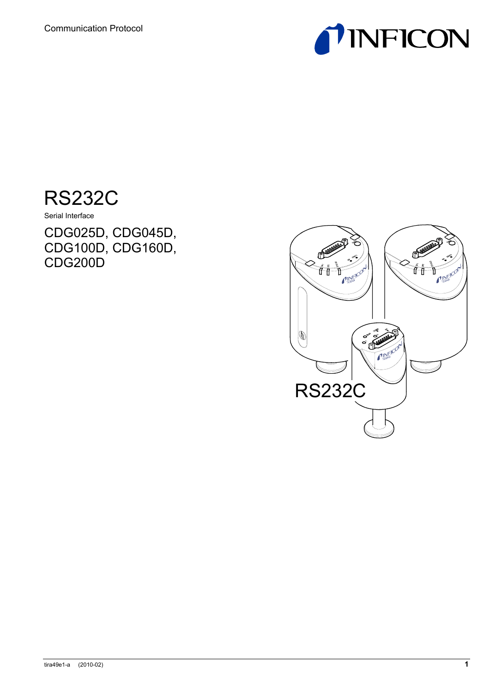



Serial Interface

CDG025D, CDG045D, CDG100D, CDG160D, CDG200D

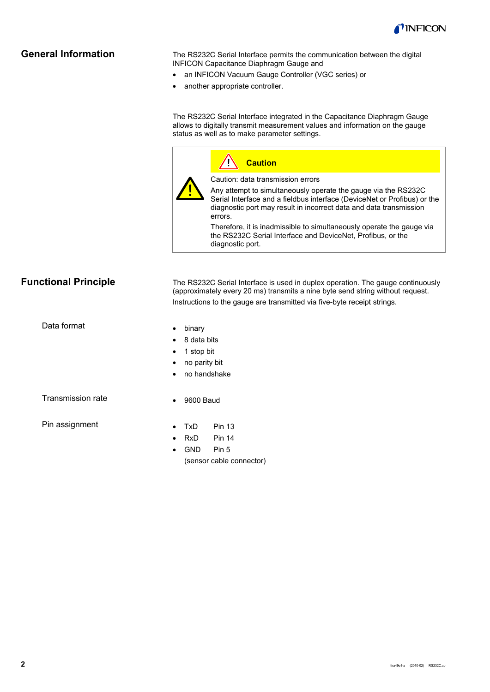

## **General Information**

The RS232C Serial Interface permits the communication between the digital INFICON Capacitance Diaphragm Gauge and

- an INFICON Vacuum Gauge Controller (VGC series) or
- another appropriate controller.

The RS232C Serial Interface integrated in the Capacitance Diaphragm Gauge allows to digitally transmit measurement values and information on the gauge status as well as to make parameter settings.

## **Caution** Caution: data transmission errors Any attempt to simultaneously operate the gauge via the RS232C Serial Interface and a fieldbus interface (DeviceNet or Profibus) or the diagnostic port may result in incorrect data and data transmission errors.

Therefore, it is inadmissible to simultaneously operate the gauge via the RS232C Serial Interface and DeviceNet, Profibus, or the diagnostic port.

## **Functional Principle**

The RS232C Serial Interface is used in duplex operation. The gauge continuously (approximately every 20 ms) transmits a nine byte send string without request. Instructions to the gauge are transmitted via five-byte receipt strings.

Data format

- binary
- 8 data bits
- 1 stop bit
- no parity bit
- no handshake

Transmission rate

• 9600 Baud

Pin assignment

- TxD Pin 13
- RxD Pin 14
- GND Pin 5 (sensor cable connector)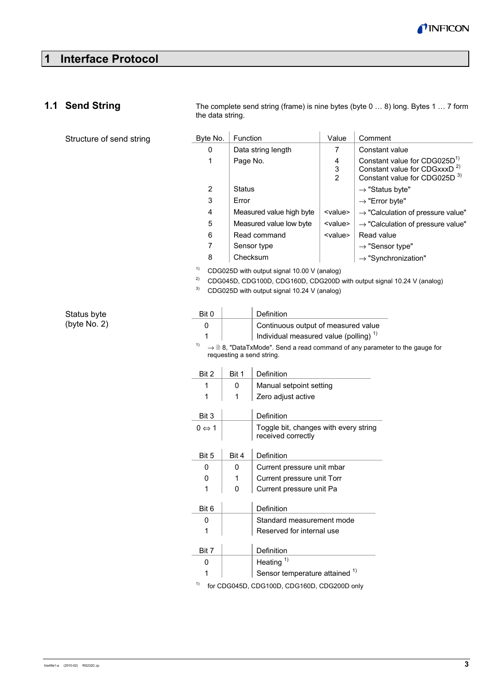

# **1 Interface Protocol**

## **1.1 Send String**

Structure of send string

The complete send string (frame) is nine bytes (byte 0 … 8) long. Bytes 1 … 7 form the data string.

| Byte No.       | Function                 | Value                    | Comment                                                                                                                          |
|----------------|--------------------------|--------------------------|----------------------------------------------------------------------------------------------------------------------------------|
| 0              | Data string length       | 7                        | Constant value                                                                                                                   |
| 1              | Page No.                 | 4<br>3<br>$\overline{2}$ | Constant value for CDG025D <sup>1)</sup><br>Constant value for CDGxxxD <sup>2)</sup><br>Constant value for CDG025D <sup>3)</sup> |
| $\overline{2}$ | Status                   |                          | $\rightarrow$ "Status byte"                                                                                                      |
| 3              | Error                    |                          | $\rightarrow$ "Error byte"                                                                                                       |
| 4              | Measured value high byte | <value></value>          | $\rightarrow$ "Calculation of pressure value"                                                                                    |
| 5              | Measured value low byte  | <value></value>          | $\rightarrow$ "Calculation of pressure value"                                                                                    |
| 6              | Read command             | <value></value>          | Read value                                                                                                                       |
| 7              | Sensor type              |                          | $\rightarrow$ "Sensor type"                                                                                                      |
| 8              | Checksum                 |                          | $\rightarrow$ "Synchronization"                                                                                                  |
|                |                          |                          |                                                                                                                                  |

1) CDG025D with output signal 10.00 V (analog)

2) CDG045D, CDG100D, CDG160D, CDG200D with output signal 10.24 V (analog)

3) CDG025D with output signal 10.24 V (analog)

Status byte (byte No. 2)

| Bit 0                 |                           | Definition                                                                                      |  |  |  |  |  |  |  |
|-----------------------|---------------------------|-------------------------------------------------------------------------------------------------|--|--|--|--|--|--|--|
| 0                     |                           | Continuous output of measured value                                                             |  |  |  |  |  |  |  |
|                       |                           | Individual measured value (polling) <sup>1)</sup>                                               |  |  |  |  |  |  |  |
| 1)                    | requesting a send string. | $\rightarrow \mathbb{R}$ 8, "DataTxMode". Send a read command of any parameter to the gauge for |  |  |  |  |  |  |  |
| Bit 2                 | Bit 1                     | Definition                                                                                      |  |  |  |  |  |  |  |
| 1                     | 0                         | Manual setpoint setting                                                                         |  |  |  |  |  |  |  |
| 1                     | 1                         | Zero adjust active                                                                              |  |  |  |  |  |  |  |
| Bit 3                 |                           | Definition                                                                                      |  |  |  |  |  |  |  |
| $0 \Leftrightarrow 1$ |                           | Toggle bit, changes with every string<br>received correctly                                     |  |  |  |  |  |  |  |
| Bit 5                 | Bit 4                     | Definition                                                                                      |  |  |  |  |  |  |  |
| 0                     | 0                         | Current pressure unit mbar                                                                      |  |  |  |  |  |  |  |
| 0                     | 1                         | Current pressure unit Torr                                                                      |  |  |  |  |  |  |  |
| 1                     | 0                         | Current pressure unit Pa                                                                        |  |  |  |  |  |  |  |
|                       |                           |                                                                                                 |  |  |  |  |  |  |  |
| Bit 6                 |                           | Definition                                                                                      |  |  |  |  |  |  |  |
| 0                     |                           | Standard measurement mode                                                                       |  |  |  |  |  |  |  |
| 1                     |                           | Reserved for internal use                                                                       |  |  |  |  |  |  |  |
| Bit 7                 |                           | Definition                                                                                      |  |  |  |  |  |  |  |
| 0                     |                           | Heating $1)$                                                                                    |  |  |  |  |  |  |  |
| 1                     |                           | Sensor temperature attained 1)                                                                  |  |  |  |  |  |  |  |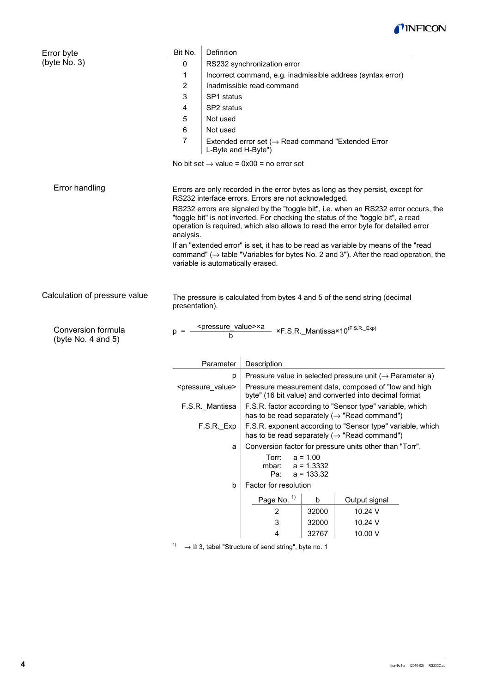

| Error byte                               | Bit No.        | Definition                                                                                                                                                                                                                                                     |                                                                                 |                  |                                                                                                                                                                                        |  |  |  |  |
|------------------------------------------|----------------|----------------------------------------------------------------------------------------------------------------------------------------------------------------------------------------------------------------------------------------------------------------|---------------------------------------------------------------------------------|------------------|----------------------------------------------------------------------------------------------------------------------------------------------------------------------------------------|--|--|--|--|
| (byte No. 3)                             | 0              | RS232 synchronization error                                                                                                                                                                                                                                    |                                                                                 |                  |                                                                                                                                                                                        |  |  |  |  |
|                                          | 1              |                                                                                                                                                                                                                                                                |                                                                                 |                  | Incorrect command, e.g. inadmissible address (syntax error)                                                                                                                            |  |  |  |  |
|                                          | 2              |                                                                                                                                                                                                                                                                | Inadmissible read command                                                       |                  |                                                                                                                                                                                        |  |  |  |  |
|                                          | 3              | SP1 status                                                                                                                                                                                                                                                     |                                                                                 |                  |                                                                                                                                                                                        |  |  |  |  |
|                                          | 4              | SP <sub>2</sub> status                                                                                                                                                                                                                                         |                                                                                 |                  |                                                                                                                                                                                        |  |  |  |  |
|                                          | 5              | Not used                                                                                                                                                                                                                                                       |                                                                                 |                  |                                                                                                                                                                                        |  |  |  |  |
|                                          | 6              | Not used                                                                                                                                                                                                                                                       |                                                                                 |                  |                                                                                                                                                                                        |  |  |  |  |
|                                          | $\overline{7}$ | L-Byte and H-Byte")                                                                                                                                                                                                                                            | Extended error set ( $\rightarrow$ Read command "Extended Error                 |                  |                                                                                                                                                                                        |  |  |  |  |
|                                          |                |                                                                                                                                                                                                                                                                | No bit set $\rightarrow$ value = 0x00 = no error set                            |                  |                                                                                                                                                                                        |  |  |  |  |
| Error handling                           |                | Errors are only recorded in the error bytes as long as they persist, except for<br>RS232 interface errors. Errors are not acknowledged.                                                                                                                        |                                                                                 |                  |                                                                                                                                                                                        |  |  |  |  |
|                                          | analysis.      | RS232 errors are signaled by the "toggle bit", i.e. when an RS232 error occurs, the<br>"toggle bit" is not inverted. For checking the status of the "toggle bit", a read<br>operation is required, which also allows to read the error byte for detailed error |                                                                                 |                  |                                                                                                                                                                                        |  |  |  |  |
|                                          |                | variable is automatically erased.                                                                                                                                                                                                                              |                                                                                 |                  | If an "extended error" is set, it has to be read as variable by means of the "read<br>command" ( $\rightarrow$ table "Variables for bytes No. 2 and 3"). After the read operation, the |  |  |  |  |
| Calculation of pressure value            | presentation). |                                                                                                                                                                                                                                                                |                                                                                 |                  | The pressure is calculated from bytes 4 and 5 of the send string (decimal                                                                                                              |  |  |  |  |
| Conversion formula<br>(byte No. 4 and 5) |                | h                                                                                                                                                                                                                                                              | <pressure_value>×a_ xF.S.R._Mantissa×10<sup>(F.S.R._Exp)</sup></pressure_value> |                  |                                                                                                                                                                                        |  |  |  |  |
|                                          |                | Parameter                                                                                                                                                                                                                                                      | Description                                                                     |                  |                                                                                                                                                                                        |  |  |  |  |
|                                          |                | p                                                                                                                                                                                                                                                              |                                                                                 |                  | Pressure value in selected pressure unit ( $\rightarrow$ Parameter a)                                                                                                                  |  |  |  |  |
|                                          |                | <pressure_value></pressure_value>                                                                                                                                                                                                                              |                                                                                 |                  | Pressure measurement data, composed of "low and high<br>byte" (16 bit value) and converted into decimal format                                                                         |  |  |  |  |
|                                          |                | F.S.R._Mantissa                                                                                                                                                                                                                                                |                                                                                 |                  | F.S.R. factor according to "Sensor type" variable, which<br>has to be read separately $(\rightarrow$ "Read command")                                                                   |  |  |  |  |
|                                          |                | F.S.R. Exp                                                                                                                                                                                                                                                     |                                                                                 |                  | F.S.R. exponent according to "Sensor type" variable, which<br>has to be read separately $(\rightarrow$ "Read command")                                                                 |  |  |  |  |
|                                          |                | a                                                                                                                                                                                                                                                              |                                                                                 |                  | Conversion factor for pressure units other than "Torr".                                                                                                                                |  |  |  |  |
|                                          |                |                                                                                                                                                                                                                                                                | Torr:<br>$a = 1.00$<br>$a = 1.3332$<br>mbar:<br>Pa:<br>$a = 133.32$             |                  |                                                                                                                                                                                        |  |  |  |  |
|                                          |                | Factor for resolution<br>b                                                                                                                                                                                                                                     |                                                                                 |                  |                                                                                                                                                                                        |  |  |  |  |
|                                          |                |                                                                                                                                                                                                                                                                |                                                                                 |                  |                                                                                                                                                                                        |  |  |  |  |
|                                          |                |                                                                                                                                                                                                                                                                | Page No. 1)<br>$\overline{2}$                                                   | $\sf b$<br>32000 | Output signal<br>10.24 V                                                                                                                                                               |  |  |  |  |
|                                          |                |                                                                                                                                                                                                                                                                |                                                                                 |                  |                                                                                                                                                                                        |  |  |  |  |

 $1) \rightarrow$  3, tabel "Structure of send string", byte no. 1

3  $32000$  10.24 V 4 | 32767 | 10.00 V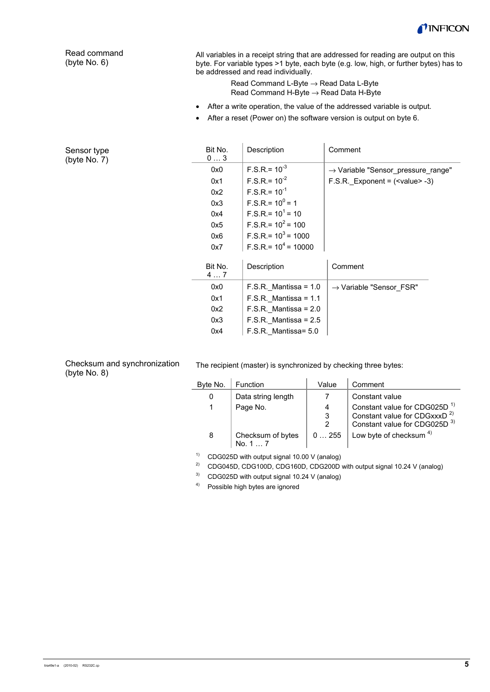

Read command (byte No. 6)

All variables in a receipt string that are addressed for reading are output on this byte. For variable types >1 byte, each byte (e.g. low, high, or further bytes) has to be addressed and read individually.

> Read Command L-Byte → Read Data L-Byte Read Command H-Byte → Read Data H-Byte

- After a write operation, the value of the addressed variable is output.
- After a reset (Power on) the software version is output on byte 6.

| Sensor type<br>(byte No. 7) | Bit No.<br>03 | Description             | Comment                                        |  |
|-----------------------------|---------------|-------------------------|------------------------------------------------|--|
|                             | 0x0           | $F.S.R. = 10^{-3}$      | $\rightarrow$ Variable "Sensor pressure range" |  |
|                             | 0x1           | $F.S.R. = 10^{-2}$      | F.S.R. Exponent = $(\text{value} > -3)$        |  |
|                             | 0x2           | $F.S.R.= 10^{-1}$       |                                                |  |
|                             | 0x3           | $F.S.R = 10^0 = 1$      |                                                |  |
|                             | 0x4           | $F.S.R. = 10^1 = 10$    |                                                |  |
|                             | 0x5           | $F.S.R = 10^2 = 100$    |                                                |  |
|                             | 0x6           | $F.S.R. = 10^3 = 1000$  |                                                |  |
|                             | 0x7           | $F.S.R. = 10^4 = 10000$ |                                                |  |
|                             | Bit No.<br>47 | Description             | Comment                                        |  |
|                             | 0x0           | $F.S.R.$ Mantissa = 1.0 | $\rightarrow$ Variable "Sensor FSR"            |  |
|                             | 0x1           | $F.S.R.$ Mantissa = 1.1 |                                                |  |
|                             | 0x2           | $F.S.R.$ Mantissa = 2.0 |                                                |  |
|                             | 0x3           | $F.S.R.$ Mantissa = 2.5 |                                                |  |
|                             | 0x4           | F.S.R. Mantissa = 5.0   |                                                |  |

Checksum and synchronization (byte No. 8)

The recipient (master) is synchronized by checking three bytes:

| Byte No. | Function                     | Value | Comment                                                                                                                          |
|----------|------------------------------|-------|----------------------------------------------------------------------------------------------------------------------------------|
| 0        | Data string length           |       | Constant value                                                                                                                   |
|          | Page No.                     | 4     | Constant value for CDG025D <sup>1)</sup><br>Constant value for CDGxxxD <sup>2)</sup><br>Constant value for CDG025D <sup>3)</sup> |
| 8        | Checksum of bytes<br>No. 1 7 | 0255  | Low byte of checksum $4)$                                                                                                        |

1) CDG025D with output signal 10.00 V (analog)

<sup>2)</sup> CDG045D, CDG100D, CDG160D, CDG200D with output signal 10.24 V (analog)

3) CDG025D with output signal 10.24 V (analog)

4) Possible high bytes are ignored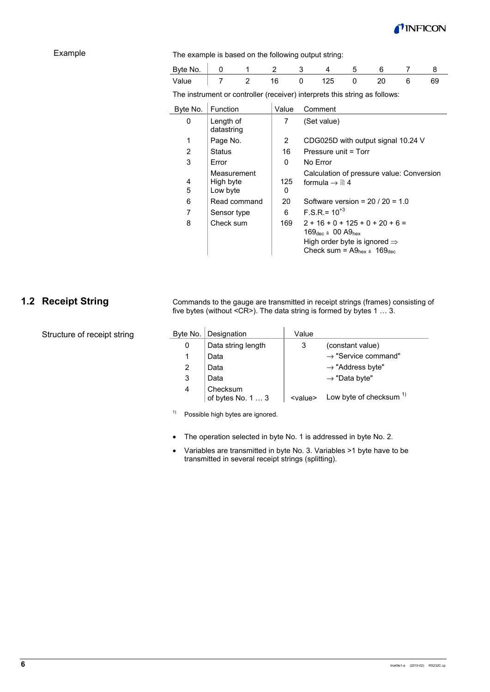

### Example

#### The example is based on the following output string:

| Byte No. |  |  |  |  |  |
|----------|--|--|--|--|--|
| Value    |  |  |  |  |  |

The instrument or controller (receiver) interprets this string as follows:

| Byte No. | <b>Function</b>                      | Value    | Comment                                                                                                                                                                                                           |
|----------|--------------------------------------|----------|-------------------------------------------------------------------------------------------------------------------------------------------------------------------------------------------------------------------|
| 0        | Length of<br>datastring              | 7        | (Set value)                                                                                                                                                                                                       |
| 1        | Page No.                             | 2        | CDG025D with output signal 10.24 V                                                                                                                                                                                |
| 2        | <b>Status</b>                        | 16       | Pressure unit = Torr                                                                                                                                                                                              |
| 3        | Error                                | 0        | No Error                                                                                                                                                                                                          |
| 4<br>5   | Measurement<br>High byte<br>Low byte | 125<br>0 | Calculation of pressure value: Conversion<br>formula $\rightarrow \mathbb{R}$ 4                                                                                                                                   |
| 6        | Read command                         | 20       | Software version = $20/20 = 1.0$                                                                                                                                                                                  |
| 7        | Sensor type                          | 6        | $F.S.R = 10^{+3}$                                                                                                                                                                                                 |
| 8        | Check sum                            | 169      | $2 + 16 + 0 + 125 + 0 + 20 + 6 =$<br>$169_{\text{dec}} \triangleq 00 \text{ A}9_{\text{hex}}$<br>High order byte is ignored $\Rightarrow$<br>Check sum = $\text{A9}_{\text{hex}}$ $\triangleq$ 169 <sub>dec</sub> |

# **1.2 Receipt String**

Structure of receipt string

Commands to the gauge are transmitted in receipt strings (frames) consisting of five bytes (without <CR>). The data string is formed by bytes 1 … 3.

| Byte No. | Designation                   | Value           |                                 |
|----------|-------------------------------|-----------------|---------------------------------|
| 0        | Data string length            | 3               | (constant value)                |
|          | Data                          |                 | $\rightarrow$ "Service command" |
| 2        | Data                          |                 | $\rightarrow$ "Address byte"    |
| 3        | Data                          |                 | $\rightarrow$ "Data byte"       |
| 4        | Checksum<br>of bytes No. 1  3 | <value></value> | Low byte of checksum $1$        |

<sup>1)</sup> Possible high bytes are ignored.

- The operation selected in byte No. 1 is addressed in byte No. 2.
- Variables are transmitted in byte No. 3. Variables >1 byte have to be transmitted in several receipt strings (splitting).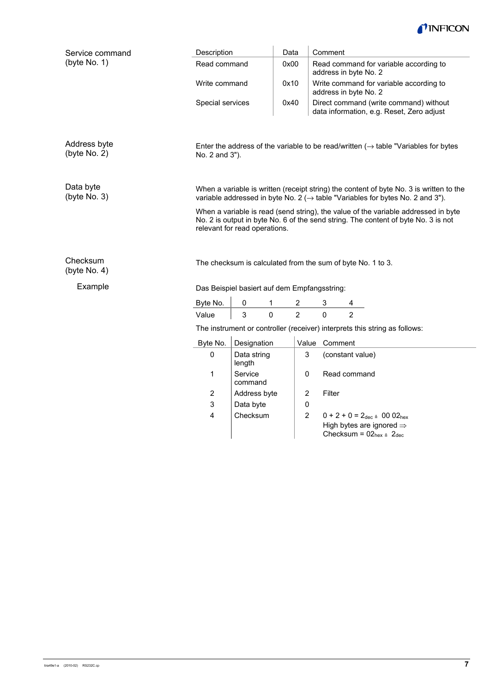

| Service command              | Description                                                                                                                                                                                               |                                              | Data        |                | Comment                                                                                           |  |  |
|------------------------------|-----------------------------------------------------------------------------------------------------------------------------------------------------------------------------------------------------------|----------------------------------------------|-------------|----------------|---------------------------------------------------------------------------------------------------|--|--|
| (byte No. 1)                 | Read command                                                                                                                                                                                              |                                              | 0x00        |                | Read command for variable according to<br>address in byte No. 2                                   |  |  |
|                              | Write command                                                                                                                                                                                             |                                              | 0x10        |                | Write command for variable according to<br>address in byte No. 2                                  |  |  |
|                              | Special services                                                                                                                                                                                          |                                              | 0x40        |                | Direct command (write command) without<br>data information, e.g. Reset, Zero adjust               |  |  |
| Address byte<br>(byte No. 2) | Enter the address of the variable to be read/written $(\rightarrow$ table "Variables for bytes<br>No. 2 and 3").                                                                                          |                                              |             |                |                                                                                                   |  |  |
| Data byte<br>(byte No. 3)    | When a variable is written (receipt string) the content of byte No. 3 is written to the<br>variable addressed in byte No. 2 ( $\rightarrow$ table "Variables for bytes No. 2 and 3").                     |                                              |             |                |                                                                                                   |  |  |
|                              | When a variable is read (send string), the value of the variable addressed in byte<br>No. 2 is output in byte No. 6 of the send string. The content of byte No. 3 is not<br>relevant for read operations. |                                              |             |                |                                                                                                   |  |  |
| Checksum<br>(byte No. 4)     | The checksum is calculated from the sum of byte No. 1 to 3.                                                                                                                                               |                                              |             |                |                                                                                                   |  |  |
| Example                      |                                                                                                                                                                                                           | Das Beispiel basiert auf dem Empfangsstring: |             |                |                                                                                                   |  |  |
|                              | Byte No.                                                                                                                                                                                                  | 0                                            | 1           | 2              | 3<br>4                                                                                            |  |  |
|                              | Value                                                                                                                                                                                                     | 3                                            | $\mathbf 0$ | $\overline{2}$ | $\mathbf 0$<br>$\overline{2}$                                                                     |  |  |
|                              |                                                                                                                                                                                                           |                                              |             |                | The instrument or controller (receiver) interprets this string as follows:                        |  |  |
|                              | Byte No.                                                                                                                                                                                                  | Designation                                  |             |                | Value Comment                                                                                     |  |  |
|                              | $\mathbf 0$                                                                                                                                                                                               | Data string<br>length                        |             | 3              | (constant value)                                                                                  |  |  |
|                              | 1                                                                                                                                                                                                         | Service<br>command                           |             | 0              | Read command                                                                                      |  |  |
|                              | 2                                                                                                                                                                                                         | Address byte                                 |             | $\overline{c}$ | Filter                                                                                            |  |  |
|                              | 3                                                                                                                                                                                                         | Data byte                                    |             | $\pmb{0}$      |                                                                                                   |  |  |
|                              | 4                                                                                                                                                                                                         | Checksum                                     |             | 2              | $0 + 2 + 0 = 2_{\text{dec}} \triangleq 0002_{\text{hex}}$<br>High bytes are ignored $\Rightarrow$ |  |  |
|                              |                                                                                                                                                                                                           |                                              |             |                | Checksum = $02_{hex} \triangleq 2_{dec}$                                                          |  |  |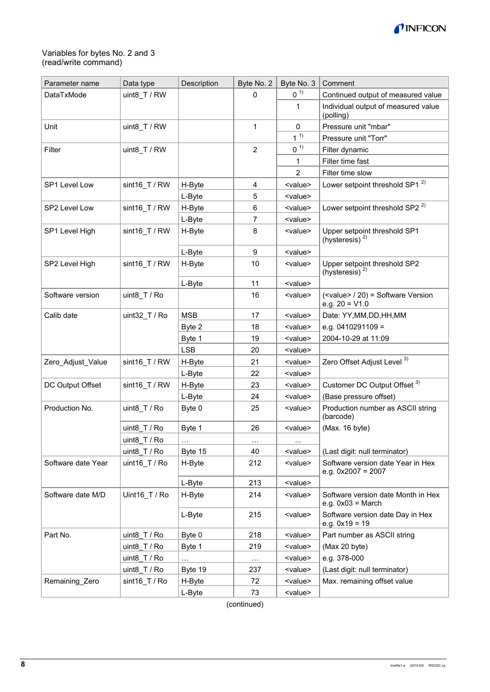

### Variables for bytes No. 2 and 3 (read/write command)

| Parameter name     | Data type                   | Description | Byte No. 2     | Byte No. 3      | Comment                                                                    |
|--------------------|-----------------------------|-------------|----------------|-----------------|----------------------------------------------------------------------------|
| DataTxMode         | uint8 T / RW                |             | 0              | 0 <sup>1</sup>  | Continued output of measured value                                         |
|                    |                             |             |                | 1               | Individual output of measured value<br>(polling)                           |
| Unit               | uint8_T / RW                |             | 1              | 0               | Pressure unit "mbar"                                                       |
|                    |                             |             |                | $1^{1}$         | Pressure unit "Torr"                                                       |
| Filter             | uint8 $T / RW$              |             | $\overline{2}$ | 0 <sup>1</sup>  | Filter dynamic                                                             |
|                    |                             |             |                | 1               | Filter time fast                                                           |
|                    |                             |             |                | $\overline{2}$  | Filter time slow                                                           |
| SP1 Level Low      | sint16_T / RW               | H-Byte      | 4              | <value></value> | Lower setpoint threshold SP1 <sup>2)</sup>                                 |
|                    |                             | L-Byte      | 5              | <value></value> |                                                                            |
| SP2 Level Low      | $sint16$ T / RW             | H-Byte      | 6              | <value></value> | Lower setpoint threshold SP2 <sup>2)</sup>                                 |
|                    |                             | L-Byte      | 7              | <value></value> |                                                                            |
| SP1 Level High     | sint16 T / RW               | H-Byte      | 8              | <value></value> | Upper setpoint threshold SP1<br>(hysteresis) <sup>2)</sup>                 |
|                    |                             | L-Byte      | 9              | <value></value> |                                                                            |
| SP2 Level High     | sint16_T / RW               | H-Byte      | 10             | <value></value> | Upper setpoint threshold SP2<br>(hysteresis) $^{2)}$                       |
|                    |                             | L-Byte      | 11             | <value></value> |                                                                            |
| Software version   | uint8 $T/Ro$                |             | 16             | <value></value> | ( <value> / 20) = Software Version<br/>e.g. <math>20 = V1.0</math></value> |
| Calib date         | uint32_T / Ro               | <b>MSB</b>  | 17             | <value></value> | Date: YY, MM, DD, HH, MM                                                   |
|                    |                             | Byte 2      | 18             | <value></value> | e.g. $0410291109 =$                                                        |
|                    |                             | Byte 1      | 19             | <value></value> | 2004-10-29 at 11:09                                                        |
|                    |                             | <b>LSB</b>  | 20             | <value></value> |                                                                            |
| Zero Adjust Value  | $sint16$ T / RW             | H-Byte      | 21             | <value></value> | Zero Offset Adjust Level <sup>3)</sup>                                     |
|                    |                             | L-Byte      | 22             | <value></value> |                                                                            |
| DC Output Offset   | sint16_T / RW               | H-Byte      | 23             | <value></value> | Customer DC Output Offset <sup>3)</sup>                                    |
|                    |                             | L-Byte      | 24             | <value></value> | (Base pressure offset)                                                     |
| Production No.     | uint8 T / Ro                | Byte 0      | 25             | <value></value> | Production number as ASCII string<br>(barcode)                             |
|                    | uint8_T / Ro                | Byte 1      | 26             | <value></value> | (Max. 16 byte)                                                             |
|                    | uint8 $T/Ro$                | $\sim$      | $\cdots$       | $\cdots$        |                                                                            |
|                    | uint8_T / Ro                | Byte 15     | 40             | <value></value> | (Last digit: null terminator)                                              |
| Software date Year | uint16 $T/Ro$               | H-Byte      | 212            | <value></value> | Software version date Year in Hex<br>e.g. $0x2007 = 2007$                  |
|                    |                             | L-Byte      | 213            | <value></value> |                                                                            |
| Software date M/D  | Uint16 T / Ro               | H-Byte      | 214            | <value></value> | Software version date Month in Hex<br>$e.g. 0x03 = March$                  |
|                    |                             | L-Byte      | 215            | <value></value> | Software version date Day in Hex<br>e.g. $0x19 = 19$                       |
| Part No.           | uint $8$ _T / Ro            | Byte 0      | 218            | <value></value> | Part number as ASCII string                                                |
|                    | uint8_T / $Ro$              | Byte 1      | 219            | <value></value> | (Max 20 byte)                                                              |
|                    | uint $8$ <sub>_T</sub> / Ro | $\ddotsc$   | $\cdots$       | <value></value> | e.g. 378-000                                                               |
|                    | uint $8$ <sub>_T</sub> / Ro | Byte 19     | 237            | <value></value> | (Last digit: null terminator)                                              |
| Remaining_Zero     | sint16_T / Ro               | H-Byte      | 72             | <value></value> | Max. remaining offset value                                                |
|                    |                             | L-Byte      | 73             | <value></value> |                                                                            |

(continued)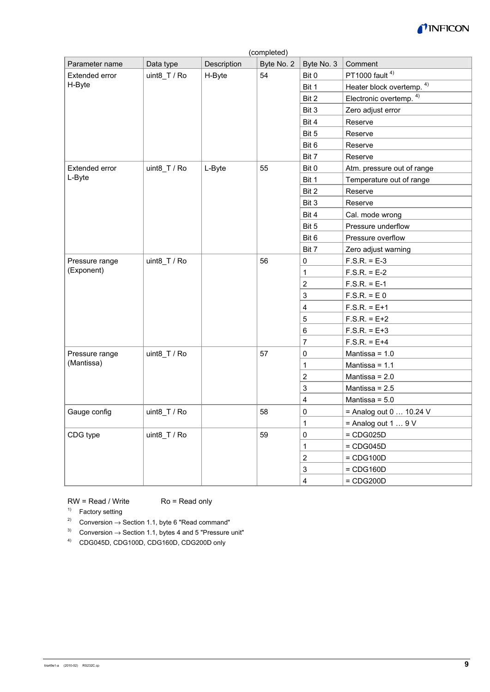

| Parameter name | Data type    | Description | Byte No. 2 | Byte No. 3                | Comment                            |
|----------------|--------------|-------------|------------|---------------------------|------------------------------------|
| Extended error | uint8 T / Ro | H-Byte      | 54         | Bit 0                     | PT1000 fault <sup>4)</sup>         |
| H-Byte         |              |             |            | Bit 1                     | Heater block overtemp. 4)          |
|                |              |             |            | Bit 2                     | Electronic overtemp. <sup>4)</sup> |
|                |              |             |            | Bit 3                     | Zero adjust error                  |
|                |              |             |            | Bit 4                     | Reserve                            |
|                |              |             |            | Bit 5                     | Reserve                            |
|                |              |             |            | Bit 6                     | Reserve                            |
|                |              |             |            | Bit 7                     | Reserve                            |
| Extended error | uint8_T / Ro | L-Byte      | 55         | Bit 0                     | Atm. pressure out of range         |
| L-Byte         |              |             |            | Bit 1                     | Temperature out of range           |
|                |              |             |            | Bit 2                     | Reserve                            |
|                |              |             |            | Bit 3                     | Reserve                            |
|                |              |             |            | Bit 4                     | Cal. mode wrong                    |
|                |              |             |            | Bit 5                     | Pressure underflow                 |
|                |              |             |            | Bit 6                     | Pressure overflow                  |
|                |              |             |            | Bit 7                     | Zero adjust warning                |
| Pressure range | uint8_T / Ro |             | 56         | 0                         | $F.S.R. = E-3$                     |
| (Exponent)     |              |             |            | $\mathbf 1$               | $F.S.R. = E-2$                     |
|                |              |             |            | $\boldsymbol{2}$          | $F.S.R. = E-1$                     |
|                |              |             |            | $\ensuremath{\mathsf{3}}$ | $F.S.R. = E 0$                     |
|                |              |             |            | $\overline{\mathbf{4}}$   | $F.S.R. = E + 1$                   |
|                |              |             |            | 5                         | $F.S.R. = E + 2$                   |
|                |              |             |            | 6                         | $F.S.R. = E + 3$                   |
|                |              |             |            | $\overline{7}$            | $F.S.R. = E + 4$                   |
| Pressure range | uint8_T / Ro |             | 57         | 0                         | Mantissa = $1.0$                   |
| (Mantissa)     |              |             |            | $\mathbf 1$               | Mantissa = $1.1$                   |
|                |              |             |            | $\mathbf 2$               | Mantissa = $2.0$                   |
|                |              |             |            | $\ensuremath{\mathsf{3}}$ | Mantissa = $2.5$                   |
|                |              |             |            | $\overline{\mathbf{4}}$   | Mantissa = $5.0$                   |
| Gauge config   | uint8_T / Ro |             | 58         | 0                         | = Analog out $010.24$ V            |
|                |              |             |            | $\mathbf 1$               | = Analog out $19V$                 |
| CDG type       | uint8_T / Ro |             | 59         | 0                         | $=$ CDG025D                        |
|                |              |             |            | $\mathbf{1}$              | $=$ CDG045D                        |
|                |              |             |            | $\boldsymbol{2}$          | $=$ CDG100D                        |
|                |              |             |            | $\ensuremath{\mathsf{3}}$ | $=$ CDG160D                        |
|                |              |             |            | $\overline{\mathbf{4}}$   | $=$ CDG200D                        |
|                |              |             |            |                           |                                    |

### $RW = Read / Write$   $Ro = Read only$

<sup>1)</sup> Factory setting

- 2) Conversion  $\rightarrow$  Section 1.1, byte 6 "Read command"
- 3) Conversion  $\rightarrow$  Section 1.1, bytes 4 and 5 "Pressure unit"
- 4) CDG045D, CDG100D, CDG160D, CDG200D only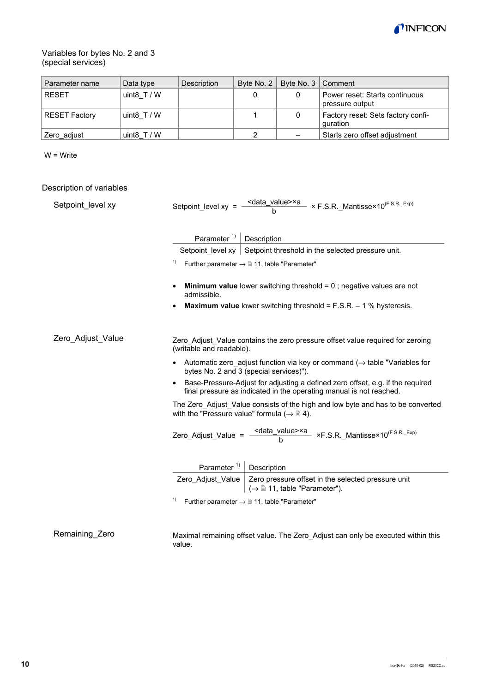

### Variables for bytes No. 2 and 3 (special services)

| Parameter name           | Data type                                                                | Description                                                                                                                                           | Byte No. 2                          | Byte No. 3                   | Comment                                                                                                    |  |  |
|--------------------------|--------------------------------------------------------------------------|-------------------------------------------------------------------------------------------------------------------------------------------------------|-------------------------------------|------------------------------|------------------------------------------------------------------------------------------------------------|--|--|
| <b>RESET</b>             | uint8 $T / W$                                                            |                                                                                                                                                       | 0                                   | 0                            | Power reset: Starts continuous<br>pressure output                                                          |  |  |
| <b>RESET Factory</b>     | uint8_T / $W$                                                            |                                                                                                                                                       | 1                                   | $\pmb{0}$                    | Factory reset: Sets factory confi-<br>guration                                                             |  |  |
| Zero_adjust              | uint8 $T/W$                                                              |                                                                                                                                                       | 2                                   |                              | Starts zero offset adjustment                                                                              |  |  |
| $W = Write$              |                                                                          |                                                                                                                                                       |                                     |                              |                                                                                                            |  |  |
| Description of variables |                                                                          |                                                                                                                                                       |                                     |                              |                                                                                                            |  |  |
| Setpoint_level xy        |                                                                          |                                                                                                                                                       |                                     |                              |                                                                                                            |  |  |
|                          |                                                                          |                                                                                                                                                       | Parameter <sup>1)</sup> Description |                              |                                                                                                            |  |  |
|                          |                                                                          |                                                                                                                                                       |                                     |                              | Setpoint level $xy$ Setpoint threshold in the selected pressure unit.                                      |  |  |
|                          | 1)                                                                       | Further parameter $\rightarrow \blacksquare$ 11, table "Parameter"                                                                                    |                                     |                              |                                                                                                            |  |  |
|                          |                                                                          | admissible.                                                                                                                                           |                                     |                              | <b>Minimum value</b> lower switching threshold = $0$ ; negative values are not                             |  |  |
|                          |                                                                          |                                                                                                                                                       |                                     |                              | <b>Maximum value</b> lower switching threshold = $F.S.R. - 1\%$ hysteresis.                                |  |  |
| Zero_Adjust_Value        |                                                                          | (writable and readable).                                                                                                                              |                                     |                              | Zero_Adjust_Value contains the zero pressure offset value required for zeroing                             |  |  |
|                          |                                                                          | bytes No. 2 and 3 (special services)").                                                                                                               |                                     |                              | • Automatic zero_adjust function via key or command $(\rightarrow$ table "Variables for                    |  |  |
|                          |                                                                          | Base-Pressure-Adjust for adjusting a defined zero offset, e.g. if the required<br>final pressure as indicated in the operating manual is not reached. |                                     |                              |                                                                                                            |  |  |
|                          |                                                                          | with the "Pressure value" formula ( $\rightarrow \mathbb{B}$ 4).                                                                                      |                                     |                              | The Zero_Adjust_Value consists of the high and low byte and has to be converted                            |  |  |
|                          |                                                                          |                                                                                                                                                       |                                     |                              | Zero_Adjust_Value = $\frac{\text{~data\_value} > \times a}{b}$ ×F.S.R._Mantisse×10 <sup>(F.S.R._Exp)</sup> |  |  |
|                          |                                                                          | Parameter <sup>1)</sup>                                                                                                                               | Description                         |                              |                                                                                                            |  |  |
|                          |                                                                          | Zero_Adjust_Value                                                                                                                                     |                                     | (→ ■ 11, table "Parameter"). | Zero pressure offset in the selected pressure unit                                                         |  |  |
|                          | 1)<br>Further parameter $\rightarrow \blacksquare$ 11, table "Parameter" |                                                                                                                                                       |                                     |                              |                                                                                                            |  |  |
| Remaining_Zero           |                                                                          |                                                                                                                                                       |                                     |                              | Maximal remaining offset value. The Zero_Adjust can only be executed within this                           |  |  |

value.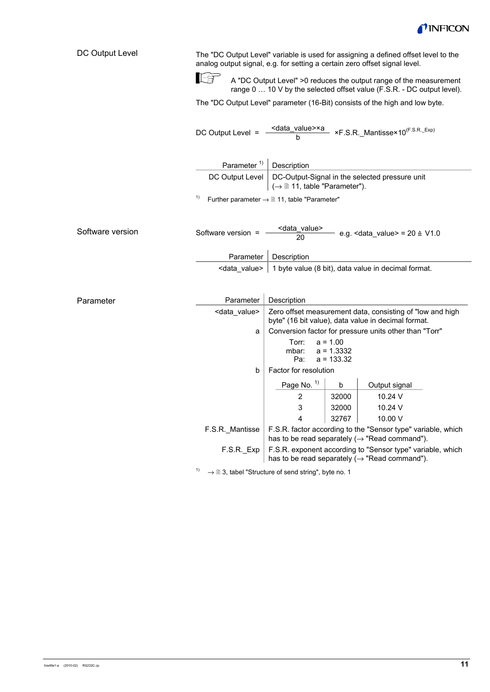

| DC Output Level                                                       | 下角                                                                     | The "DC Output Level" variable is used for assigning a defined offset level to the<br>analog output signal, e.g. for setting a certain zero offset signal level.<br>A "DC Output Level" >0 reduces the output range of the measurement<br>range 0  10 V by the selected offset value (F.S.R. - DC output level).<br>The "DC Output Level" parameter (16-Bit) consists of the high and low byte. |       |               |  |
|-----------------------------------------------------------------------|------------------------------------------------------------------------|-------------------------------------------------------------------------------------------------------------------------------------------------------------------------------------------------------------------------------------------------------------------------------------------------------------------------------------------------------------------------------------------------|-------|---------------|--|
|                                                                       | DC Output Level =                                                      | $\frac{\text{ }<\text{data_value}\times\text{a}}{\text{b}}$ ×F.S.R._Mantisse×10 <sup>(F.S.R._Exp)</sup>                                                                                                                                                                                                                                                                                         |       |               |  |
|                                                                       | Parameter <sup>1)</sup>                                                | Description                                                                                                                                                                                                                                                                                                                                                                                     |       |               |  |
|                                                                       |                                                                        | DC Output Level<br>DC-Output-Signal in the selected pressure unit<br>$(\rightarrow \mathbb{B} 11,$ table "Parameter").                                                                                                                                                                                                                                                                          |       |               |  |
|                                                                       | 1)<br>Further parameter $\rightarrow \mathbb{D}$ 11, table "Parameter" |                                                                                                                                                                                                                                                                                                                                                                                                 |       |               |  |
|                                                                       |                                                                        |                                                                                                                                                                                                                                                                                                                                                                                                 |       |               |  |
| Software version                                                      | Software version =                                                     | <data_value><br/>e.g. <data_value> = <math>20 \triangleq \sqrt{1.0}</math><br/>20<br/>Description</data_value></data_value>                                                                                                                                                                                                                                                                     |       |               |  |
|                                                                       | Parameter                                                              |                                                                                                                                                                                                                                                                                                                                                                                                 |       |               |  |
|                                                                       |                                                                        | <data value=""><br/>1 byte value (8 bit), data value in decimal format.</data>                                                                                                                                                                                                                                                                                                                  |       |               |  |
|                                                                       |                                                                        |                                                                                                                                                                                                                                                                                                                                                                                                 |       |               |  |
| Parameter                                                             | Parameter                                                              | Description                                                                                                                                                                                                                                                                                                                                                                                     |       |               |  |
|                                                                       | <data_value></data_value>                                              | Zero offset measurement data, consisting of "low and high<br>byte" (16 bit value), data value in decimal format.                                                                                                                                                                                                                                                                                |       |               |  |
|                                                                       | a                                                                      | Conversion factor for pressure units other than "Torr"                                                                                                                                                                                                                                                                                                                                          |       |               |  |
|                                                                       |                                                                        | Torr:<br>$a = 1.00$<br>a = 1.3332<br>mbar:<br>$a = 133.32$<br>Pa:                                                                                                                                                                                                                                                                                                                               |       |               |  |
|                                                                       | b                                                                      | Factor for resolution                                                                                                                                                                                                                                                                                                                                                                           |       |               |  |
|                                                                       |                                                                        | Page No. 1)                                                                                                                                                                                                                                                                                                                                                                                     | b     | Output signal |  |
|                                                                       |                                                                        | 2                                                                                                                                                                                                                                                                                                                                                                                               | 32000 | 10.24 V       |  |
|                                                                       |                                                                        | 3                                                                                                                                                                                                                                                                                                                                                                                               | 32000 | 10.24 V       |  |
|                                                                       |                                                                        | 4                                                                                                                                                                                                                                                                                                                                                                                               | 32767 | 10.00 V       |  |
|                                                                       | F.S.R. Mantisse                                                        | F.S.R. factor according to the "Sensor type" variable, which<br>has to be read separately ( $\rightarrow$ "Read command").                                                                                                                                                                                                                                                                      |       |               |  |
|                                                                       | F.S.R. Exp                                                             | F.S.R. exponent according to "Sensor type" variable, which<br>has to be read separately $(\rightarrow$ "Read command").                                                                                                                                                                                                                                                                         |       |               |  |
| 1)<br>$\rightarrow$ 0 3, tabel "Structure of send string", byte no. 1 |                                                                        |                                                                                                                                                                                                                                                                                                                                                                                                 |       |               |  |